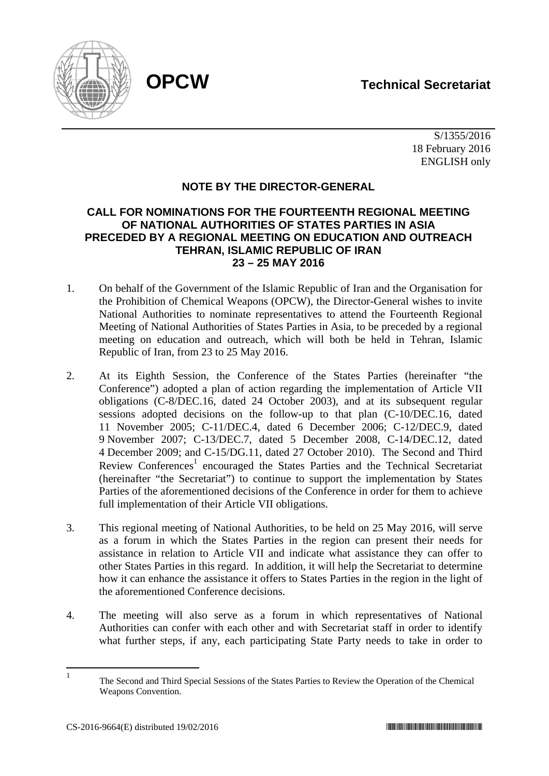

 S/1355/2016 18 February 2016 ENGLISH only

# **NOTE BY THE DIRECTOR-GENERAL**

# **CALL FOR NOMINATIONS FOR THE FOURTEENTH REGIONAL MEETING OF NATIONAL AUTHORITIES OF STATES PARTIES IN ASIA PRECEDED BY A REGIONAL MEETING ON EDUCATION AND OUTREACH TEHRAN, ISLAMIC REPUBLIC OF IRAN 23 – 25 MAY 2016**

- 1. On behalf of the Government of the Islamic Republic of Iran and the Organisation for the Prohibition of Chemical Weapons (OPCW), the Director-General wishes to invite National Authorities to nominate representatives to attend the Fourteenth Regional Meeting of National Authorities of States Parties in Asia, to be preceded by a regional meeting on education and outreach, which will both be held in Tehran, Islamic Republic of Iran, from 23 to 25 May 2016.
- 2. At its Eighth Session, the Conference of the States Parties (hereinafter "the Conference") adopted a plan of action regarding the implementation of Article VII obligations (C-8/DEC.16, dated 24 October 2003), and at its subsequent regular sessions adopted decisions on the follow-up to that plan (C-10/DEC.16, dated 11 November 2005; C-11/DEC.4, dated 6 December 2006; C-12/DEC.9, dated 9 November 2007; C-13/DEC.7, dated 5 December 2008, C-14/DEC.12, dated 4 December 2009; and C-15/DG.11, dated 27 October 2010). The Second and Third Review Conferences<sup>1</sup> encouraged the States Parties and the Technical Secretariat (hereinafter "the Secretariat") to continue to support the implementation by States Parties of the aforementioned decisions of the Conference in order for them to achieve full implementation of their Article VII obligations.
- 3. This regional meeting of National Authorities, to be held on 25 May 2016, will serve as a forum in which the States Parties in the region can present their needs for assistance in relation to Article VII and indicate what assistance they can offer to other States Parties in this regard. In addition, it will help the Secretariat to determine how it can enhance the assistance it offers to States Parties in the region in the light of the aforementioned Conference decisions.
- 4. The meeting will also serve as a forum in which representatives of National Authorities can confer with each other and with Secretariat staff in order to identify what further steps, if any, each participating State Party needs to take in order to

 $\frac{1}{1}$  The Second and Third Special Sessions of the States Parties to Review the Operation of the Chemical Weapons Convention.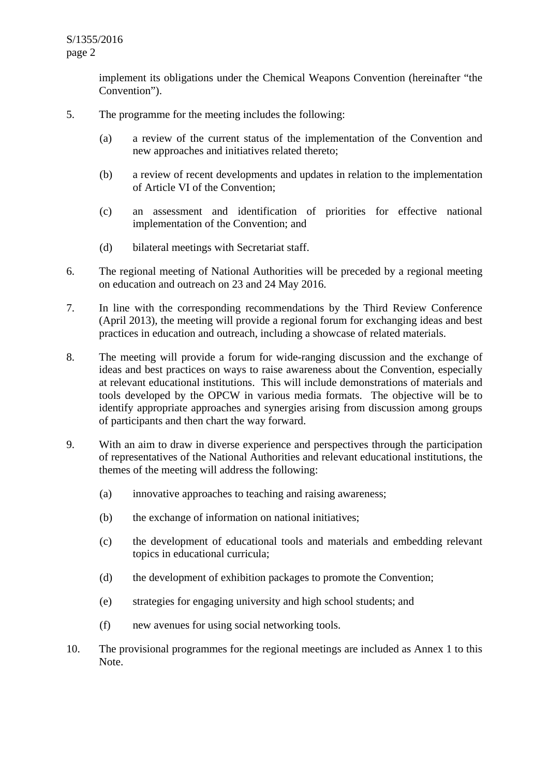implement its obligations under the Chemical Weapons Convention (hereinafter "the Convention").

- 5. The programme for the meeting includes the following:
	- (a) a review of the current status of the implementation of the Convention and new approaches and initiatives related thereto;
	- (b) a review of recent developments and updates in relation to the implementation of Article VI of the Convention;
	- (c) an assessment and identification of priorities for effective national implementation of the Convention; and
	- (d) bilateral meetings with Secretariat staff.
- 6. The regional meeting of National Authorities will be preceded by a regional meeting on education and outreach on 23 and 24 May 2016.
- 7. In line with the corresponding recommendations by the Third Review Conference (April 2013), the meeting will provide a regional forum for exchanging ideas and best practices in education and outreach, including a showcase of related materials.
- 8. The meeting will provide a forum for wide-ranging discussion and the exchange of ideas and best practices on ways to raise awareness about the Convention, especially at relevant educational institutions. This will include demonstrations of materials and tools developed by the OPCW in various media formats. The objective will be to identify appropriate approaches and synergies arising from discussion among groups of participants and then chart the way forward.
- 9. With an aim to draw in diverse experience and perspectives through the participation of representatives of the National Authorities and relevant educational institutions, the themes of the meeting will address the following:
	- (a) innovative approaches to teaching and raising awareness;
	- (b) the exchange of information on national initiatives;
	- (c) the development of educational tools and materials and embedding relevant topics in educational curricula;
	- (d) the development of exhibition packages to promote the Convention;
	- (e) strategies for engaging university and high school students; and
	- (f) new avenues for using social networking tools.
- 10. The provisional programmes for the regional meetings are included as Annex 1 to this Note.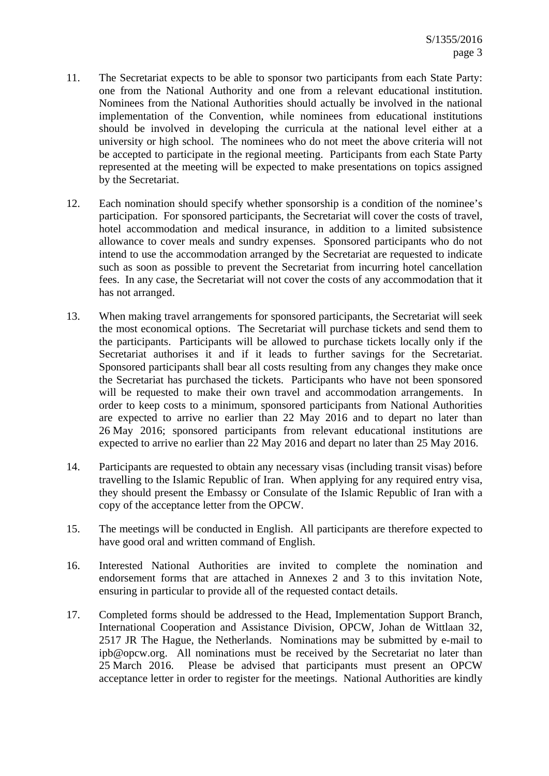- 11. The Secretariat expects to be able to sponsor two participants from each State Party: one from the National Authority and one from a relevant educational institution. Nominees from the National Authorities should actually be involved in the national implementation of the Convention, while nominees from educational institutions should be involved in developing the curricula at the national level either at a university or high school. The nominees who do not meet the above criteria will not be accepted to participate in the regional meeting. Participants from each State Party represented at the meeting will be expected to make presentations on topics assigned by the Secretariat.
- 12. Each nomination should specify whether sponsorship is a condition of the nominee's participation. For sponsored participants, the Secretariat will cover the costs of travel, hotel accommodation and medical insurance, in addition to a limited subsistence allowance to cover meals and sundry expenses. Sponsored participants who do not intend to use the accommodation arranged by the Secretariat are requested to indicate such as soon as possible to prevent the Secretariat from incurring hotel cancellation fees. In any case, the Secretariat will not cover the costs of any accommodation that it has not arranged.
- 13. When making travel arrangements for sponsored participants, the Secretariat will seek the most economical options. The Secretariat will purchase tickets and send them to the participants. Participants will be allowed to purchase tickets locally only if the Secretariat authorises it and if it leads to further savings for the Secretariat. Sponsored participants shall bear all costs resulting from any changes they make once the Secretariat has purchased the tickets. Participants who have not been sponsored will be requested to make their own travel and accommodation arrangements. In order to keep costs to a minimum, sponsored participants from National Authorities are expected to arrive no earlier than 22 May 2016 and to depart no later than 26 May 2016; sponsored participants from relevant educational institutions are expected to arrive no earlier than 22 May 2016 and depart no later than 25 May 2016.
- 14. Participants are requested to obtain any necessary visas (including transit visas) before travelling to the Islamic Republic of Iran. When applying for any required entry visa, they should present the Embassy or Consulate of the Islamic Republic of Iran with a copy of the acceptance letter from the OPCW.
- 15. The meetings will be conducted in English. All participants are therefore expected to have good oral and written command of English.
- 16. Interested National Authorities are invited to complete the nomination and endorsement forms that are attached in Annexes 2 and 3 to this invitation Note, ensuring in particular to provide all of the requested contact details.
- 17. Completed forms should be addressed to the Head, Implementation Support Branch, International Cooperation and Assistance Division, OPCW, Johan de Wittlaan 32, 2517 JR The Hague, the Netherlands. Nominations may be submitted by e-mail to ipb@opcw.org. All nominations must be received by the Secretariat no later than 25 March 2016. Please be advised that participants must present an OPCW acceptance letter in order to register for the meetings. National Authorities are kindly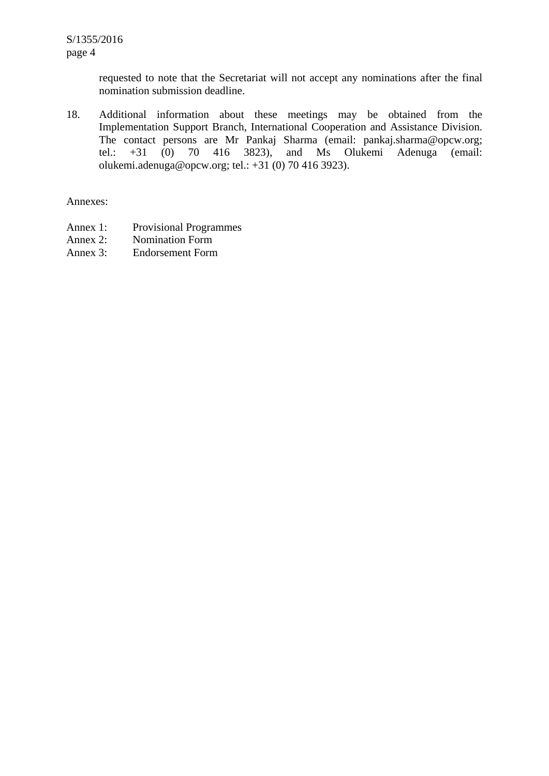requested to note that the Secretariat will not accept any nominations after the final nomination submission deadline.

18. Additional information about these meetings may be obtained from the Implementation Support Branch, International Cooperation and Assistance Division. The contact persons are Mr Pankaj Sharma (email: pankaj.sharma@opcw.org; tel.: +31 (0) 70 416 3823), and Ms Olukemi Adenuga (email: olukemi.adenuga@opcw.org; tel.: +31 (0) 70 416 3923).

Annexes:

- Annex 1: Provisional Programmes
- Annex 2: Nomination Form
- Annex 3: Endorsement Form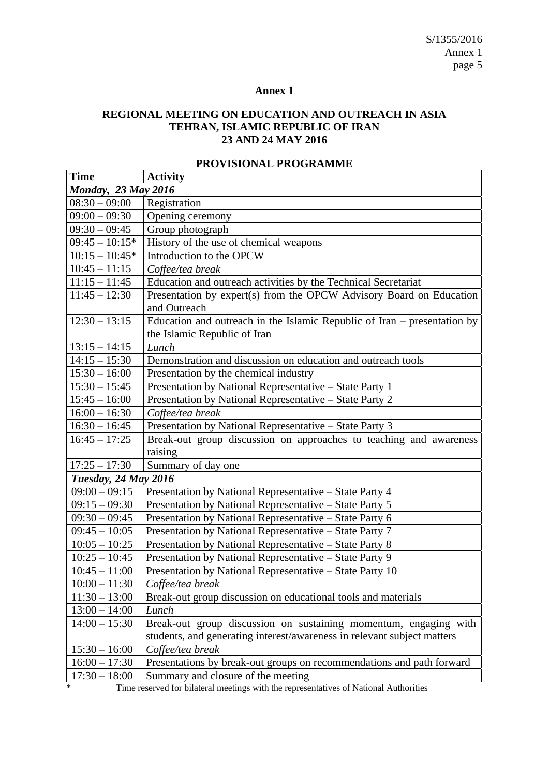#### **Annex 1**

# **REGIONAL MEETING ON EDUCATION AND OUTREACH IN ASIA TEHRAN, ISLAMIC REPUBLIC OF IRAN 23 AND 24 MAY 2016**

| <b>Time</b>                 | <b>Activity</b>                                                                       |  |  |  |
|-----------------------------|---------------------------------------------------------------------------------------|--|--|--|
| <b>Monday, 23 May 2016</b>  |                                                                                       |  |  |  |
| $08:30 - 09:00$             | Registration                                                                          |  |  |  |
| $09:00 - 09:30$             | Opening ceremony                                                                      |  |  |  |
| $09:30 - 09:45$             | Group photograph                                                                      |  |  |  |
| $09:45 - 10:15*$            | History of the use of chemical weapons                                                |  |  |  |
| $10:15 - 10:45*$            | Introduction to the OPCW                                                              |  |  |  |
| $10:45 - 11:15$             | Coffee/tea break                                                                      |  |  |  |
| $11:15 - 11:45$             | Education and outreach activities by the Technical Secretariat                        |  |  |  |
| $11:45 - 12:30$             | Presentation by expert(s) from the OPCW Advisory Board on Education                   |  |  |  |
|                             | and Outreach                                                                          |  |  |  |
| $12:30 - 13:15$             | Education and outreach in the Islamic Republic of Iran – presentation by              |  |  |  |
|                             | the Islamic Republic of Iran                                                          |  |  |  |
| $13:15 - 14:15$             | Lunch                                                                                 |  |  |  |
| $14:15 - 15:30$             | Demonstration and discussion on education and outreach tools                          |  |  |  |
| $15:30 - 16:00$             | Presentation by the chemical industry                                                 |  |  |  |
| $15:30 - 15:45$             | Presentation by National Representative - State Party 1                               |  |  |  |
| $15:45 - 16:00$             | Presentation by National Representative - State Party 2                               |  |  |  |
| $16:00 - 16:30$             | Coffee/tea break                                                                      |  |  |  |
| $16:30 - 16:45$             | Presentation by National Representative - State Party 3                               |  |  |  |
| $16:45 - 17:25$             | Break-out group discussion on approaches to teaching and awareness                    |  |  |  |
|                             | raising                                                                               |  |  |  |
| $17:25 - 17:30$             | Summary of day one                                                                    |  |  |  |
| <b>Tuesday, 24 May 2016</b> |                                                                                       |  |  |  |
| $09:00 - 09:15$             | Presentation by National Representative - State Party 4                               |  |  |  |
| $09:15 - 09:30$             | Presentation by National Representative – State Party 5                               |  |  |  |
| $09:30 - 09:45$             | Presentation by National Representative - State Party 6                               |  |  |  |
| $09:45 - 10:05$             | Presentation by National Representative - State Party 7                               |  |  |  |
| $10:05 - 10:25$             | Presentation by National Representative - State Party 8                               |  |  |  |
| $10:25 - 10:45$             | Presentation by National Representative - State Party 9                               |  |  |  |
| $10:45 - 11:00$             | Presentation by National Representative - State Party 10                              |  |  |  |
| $10:00 - 11:30$             | Coffee/tea break                                                                      |  |  |  |
| $11:30 - 13:00$             | Break-out group discussion on educational tools and materials                         |  |  |  |
| $13:00 - 14:00$             | Lunch                                                                                 |  |  |  |
| $14:00 - 15:30$             | Break-out group discussion on sustaining momentum, engaging with                      |  |  |  |
|                             | students, and generating interest/awareness in relevant subject matters               |  |  |  |
| $15:30 - 16:00$             | Coffee/tea break                                                                      |  |  |  |
| $16:00 - 17:30$             | Presentations by break-out groups on recommendations and path forward                 |  |  |  |
| $17:30 - 18:00$             | Summary and closure of the meeting                                                    |  |  |  |
| *                           | Time reserved for bilateral meetings with the representatives of National Authorities |  |  |  |

#### **PROVISIONAL PROGRAMME**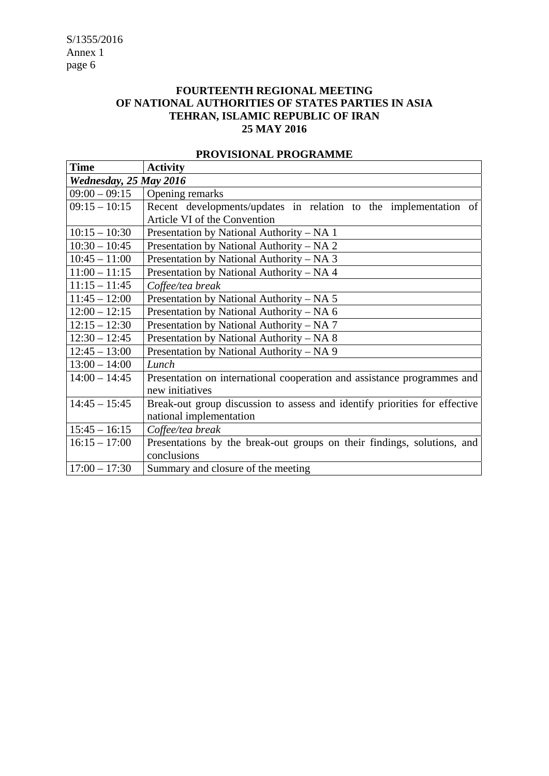# **FOURTEENTH REGIONAL MEETING OF NATIONAL AUTHORITIES OF STATES PARTIES IN ASIA TEHRAN, ISLAMIC REPUBLIC OF IRAN 25 MAY 2016**

| <b>Time</b>            | <b>Activity</b>                                                            |  |  |  |
|------------------------|----------------------------------------------------------------------------|--|--|--|
| Wednesday, 25 May 2016 |                                                                            |  |  |  |
| $09:00 - 09:15$        | Opening remarks                                                            |  |  |  |
| $09:15 - 10:15$        | Recent developments/updates in relation to the implementation of           |  |  |  |
|                        | Article VI of the Convention                                               |  |  |  |
| $10:15 - 10:30$        | Presentation by National Authority - NA 1                                  |  |  |  |
| $10:30 - 10:45$        | Presentation by National Authority – NA 2                                  |  |  |  |
| $10:45 - 11:00$        | Presentation by National Authority – NA 3                                  |  |  |  |
| $11:00 - 11:15$        | Presentation by National Authority - NA 4                                  |  |  |  |
| $11:15 - 11:45$        | Coffee/tea break                                                           |  |  |  |
| $11:45 - 12:00$        | Presentation by National Authority - NA 5                                  |  |  |  |
| $12:00 - 12:15$        | Presentation by National Authority – NA 6                                  |  |  |  |
| $12:15 - 12:30$        | Presentation by National Authority – NA 7                                  |  |  |  |
| $12:30 - 12:45$        | Presentation by National Authority – NA 8                                  |  |  |  |
| $12:45 - 13:00$        | Presentation by National Authority – NA 9                                  |  |  |  |
| $13:00 - 14:00$        | Lunch                                                                      |  |  |  |
| $14:00 - 14:45$        | Presentation on international cooperation and assistance programmes and    |  |  |  |
|                        | new initiatives                                                            |  |  |  |
| $14:45 - 15:45$        | Break-out group discussion to assess and identify priorities for effective |  |  |  |
|                        | national implementation                                                    |  |  |  |
| $15:45 - 16:15$        | Coffee/tea break                                                           |  |  |  |
| $16:15 - 17:00$        | Presentations by the break-out groups on their findings, solutions, and    |  |  |  |
|                        | conclusions                                                                |  |  |  |
| $17:00 - 17:30$        | Summary and closure of the meeting                                         |  |  |  |

# **PROVISIONAL PROGRAMME**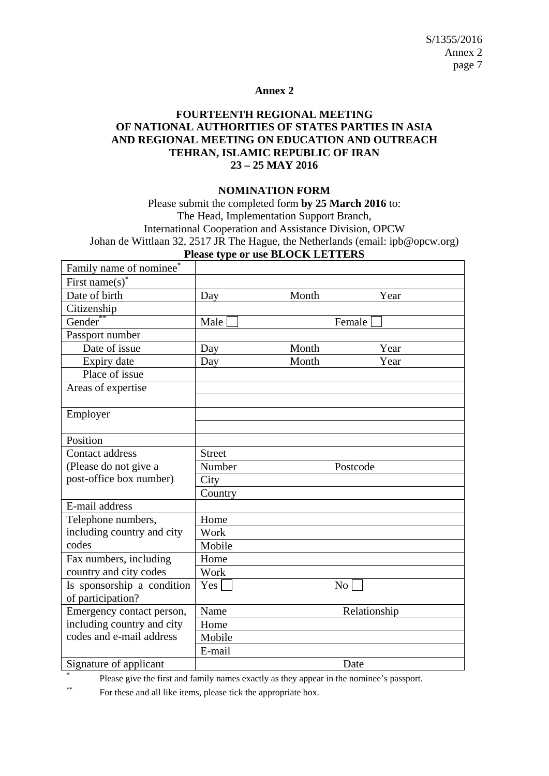#### **Annex 2**

# **FOURTEENTH REGIONAL MEETING OF NATIONAL AUTHORITIES OF STATES PARTIES IN ASIA AND REGIONAL MEETING ON EDUCATION AND OUTREACH TEHRAN, ISLAMIC REPUBLIC OF IRAN 23 – 25 MAY 2016**

#### **NOMINATION FORM**

Please submit the completed form **by 25 March 2016** to: The Head, Implementation Support Branch, International Cooperation and Assistance Division, OPCW Johan de Wittlaan 32, 2517 JR The Hague, the Netherlands (email: ipb@opcw.org) **Please type or use BLOCK LETTERS**

| Family name of nominee*    |               |       |              |  |
|----------------------------|---------------|-------|--------------|--|
| First name(s) <sup>*</sup> |               |       |              |  |
| Date of birth              | Day           | Month | Year         |  |
| Citizenship                |               |       |              |  |
| Gender                     | Male          |       | Female       |  |
| Passport number            |               |       |              |  |
| Date of issue              | Day           | Month | Year         |  |
| Expiry date                | Day           | Month | Year         |  |
| Place of issue             |               |       |              |  |
| Areas of expertise         |               |       |              |  |
|                            |               |       |              |  |
| Employer                   |               |       |              |  |
|                            |               |       |              |  |
| Position                   |               |       |              |  |
| Contact address            | <b>Street</b> |       |              |  |
| (Please do not give a      | Number        |       | Postcode     |  |
| post-office box number)    | City          |       |              |  |
|                            | Country       |       |              |  |
| E-mail address             |               |       |              |  |
| Telephone numbers,         | Home          |       |              |  |
| including country and city | Work          |       |              |  |
| codes                      | Mobile        |       |              |  |
| Fax numbers, including     | Home          |       |              |  |
| country and city codes     | Work          |       |              |  |
| Is sponsorship a condition | Yes           | No    |              |  |
| of participation?          |               |       |              |  |
| Emergency contact person,  | Name          |       | Relationship |  |
| including country and city | Home          |       |              |  |
| codes and e-mail address   | Mobile        |       |              |  |
|                            | E-mail        |       |              |  |
| Signature of applicant     |               |       | Date         |  |

× Please give the first and family names exactly as they appear in the nominee's passport.

\*\* For these and all like items, please tick the appropriate box.